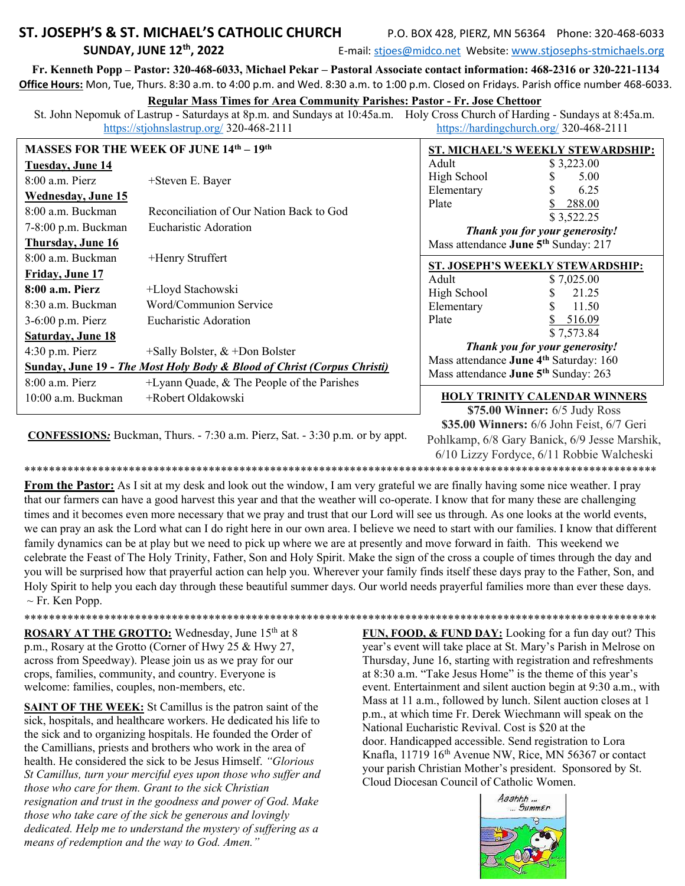# ST. JOSEPH'S & ST. MICHAEL'S CATHOLIC CHURCH **SUNDAY, JUNE 12th, 2022**

P.O. BOX 428, PIERZ, MN 56364 Phone: 320-468-6033

E-mail: stjoes@midco.net Website: www.stjosephs-stmichaels.org

Fr. Kenneth Popp - Pastor: 320-468-6033, Michael Pekar - Pastoral Associate contact information: 468-2316 or 320-221-1134 Office Hours: Mon, Tue, Thurs. 8:30 a.m. to 4:00 p.m. and Wed. 8:30 a.m. to 1:00 p.m. Closed on Fridays. Parish office number 468-6033.

## **Regular Mass Times for Area Community Parishes: Pastor - Fr. Jose Chettoor**

St. John Nepomuk of Lastrup - Saturdays at 8p.m. and Sundays at 10:45a.m. Holy Cross Church of Harding - Sundays at 8:45a.m. https://stjohnslastrup.org/ 320-468-2111 https://hardingchurch.org/ 320-468-2111

| <b>MASSES FOR THE WEEK OF JUNE 14th - 19th</b>                          |                                              | ST. MICHAEL'S WEEKLY STEWARDSHIP:                                                                                                              |                                  |
|-------------------------------------------------------------------------|----------------------------------------------|------------------------------------------------------------------------------------------------------------------------------------------------|----------------------------------|
| <b>Tuesday, June 14</b>                                                 |                                              | Adult                                                                                                                                          | \$3,223.00                       |
| $8:00$ a.m. Pierz                                                       | +Steven E. Bayer                             | High School                                                                                                                                    | 5.00                             |
| <b>Wednesday, June 15</b>                                               |                                              | Elementary                                                                                                                                     | 6.25                             |
| $8:00$ a.m. Buckman                                                     | Reconciliation of Our Nation Back to God     | Plate                                                                                                                                          | 288.00<br>\$3,522.25             |
| 7-8:00 p.m. Buckman                                                     | Eucharistic Adoration                        | Thank you for your generosity!                                                                                                                 |                                  |
| Thursday, June 16                                                       |                                              | Mass attendance June 5 <sup>th</sup> Sunday: 217                                                                                               |                                  |
| 8:00 a.m. Buckman                                                       | +Henry Struffert                             |                                                                                                                                                | ST. JOSEPH'S WEEKLY STEWARDSHIP: |
| Friday, June 17                                                         |                                              | Adult                                                                                                                                          | \$7,025.00                       |
| 8:00 a.m. Pierz                                                         | +Lloyd Stachowski                            | High School                                                                                                                                    | 21.25                            |
| 8:30 a.m. Buckman                                                       | Word/Communion Service                       | Elementary                                                                                                                                     | 11.50                            |
| 3-6:00 p.m. Pierz                                                       | Eucharistic Adoration                        | Plate                                                                                                                                          | 516.09                           |
| <b>Saturday, June 18</b>                                                |                                              |                                                                                                                                                | \$7,573.84                       |
| $4:30$ p.m. Pierz                                                       | +Sally Bolster, $&$ +Don Bolster             | Thank you for your generosity!                                                                                                                 |                                  |
| Sunday, June 19 - The Most Holy Body & Blood of Christ (Corpus Christi) |                                              | Mass attendance June 4 <sup>th</sup> Saturday: 160                                                                                             |                                  |
| $8:00$ a.m. Pierz                                                       | $+Lyann Quade, &$ The People of the Parishes | Mass attendance June 5 <sup>th</sup> Sunday: 263<br><b>HOLY TRINITY CALENDAR WINNERS</b><br>$\sqrt{75}$ 00 Winner: 6/5 $\frac{1}{2}$ Judy Ross |                                  |
| 10:00 a.m. Buckman                                                      | +Robert Oldakowski                           |                                                                                                                                                |                                  |

\$75.00 Winner: 6/5 Judy Ross \$35.00 Winners: 6/6 John Feist, 6/7 Geri

**CONFESSIONS:** Buckman, Thurs. - 7:30 a.m. Pierz, Sat. - 3:30 p.m. or by appt.

Pohlkamp, 6/8 Gary Banick, 6/9 Jesse Marshik, 6/10 Lizzy Fordyce, 6/11 Robbie Walcheski 

From the Pastor: As I sit at my desk and look out the window, I am very grateful we are finally having some nice weather. I pray that our farmers can have a good harvest this year and that the weather will co-operate. I know that for many these are challenging times and it becomes even more necessary that we pray and trust that our Lord will see us through. As one looks at the world events, we can pray an ask the Lord what can I do right here in our own area. I believe we need to start with our families. I know that different family dynamics can be at play but we need to pick up where we are at presently and move forward in faith. This weekend we celebrate the Feast of The Holy Trinity, Father, Son and Holy Spirit. Make the sign of the cross a couple of times through the day and you will be surprised how that prayerful action can help you. Wherever your family finds itself these days pray to the Father, Son, and Holy Spirit to help you each day through these beautiful summer days. Our world needs prayerful families more than ever these days.  $\sim$  Fr. Ken Popp.

\*\*\*\*\*\*\*\*\*\*\*\*\*\*

ROSARY AT THE GROTTO: Wednesday, June 15th at 8 p.m., Rosary at the Grotto (Corner of Hwy 25 & Hwy 27, across from Speedway). Please join us as we pray for our crops, families, community, and country. Everyone is welcome: families, couples, non-members, etc.

**SAINT OF THE WEEK:** St Camillus is the patron saint of the sick, hospitals, and healthcare workers. He dedicated his life to the sick and to organizing hospitals. He founded the Order of the Camillians, priests and brothers who work in the area of health. He considered the sick to be Jesus Himself. "Glorious St Camillus, turn your merciful eyes upon those who suffer and those who care for them. Grant to the sick Christian resignation and trust in the goodness and power of God. Make those who take care of the sick be generous and lovingly dedicated. Help me to understand the mystery of suffering as a means of redemption and the way to God. Amen."

FUN, FOOD, & FUND DAY: Looking for a fun day out? This year's event will take place at St. Mary's Parish in Melrose on Thursday, June 16, starting with registration and refreshments at 8:30 a.m. "Take Jesus Home" is the theme of this year's event. Entertainment and silent auction begin at 9:30 a.m., with Mass at 11 a.m., followed by lunch. Silent auction closes at 1 p.m., at which time Fr. Derek Wiechmann will speak on the National Eucharistic Revival. Cost is \$20 at the door. Handicapped accessible. Send registration to Lora Knafla, 11719 16<sup>th</sup> Avenue NW, Rice, MN 56367 or contact your parish Christian Mother's president. Sponsored by St. Cloud Diocesan Council of Catholic Women.